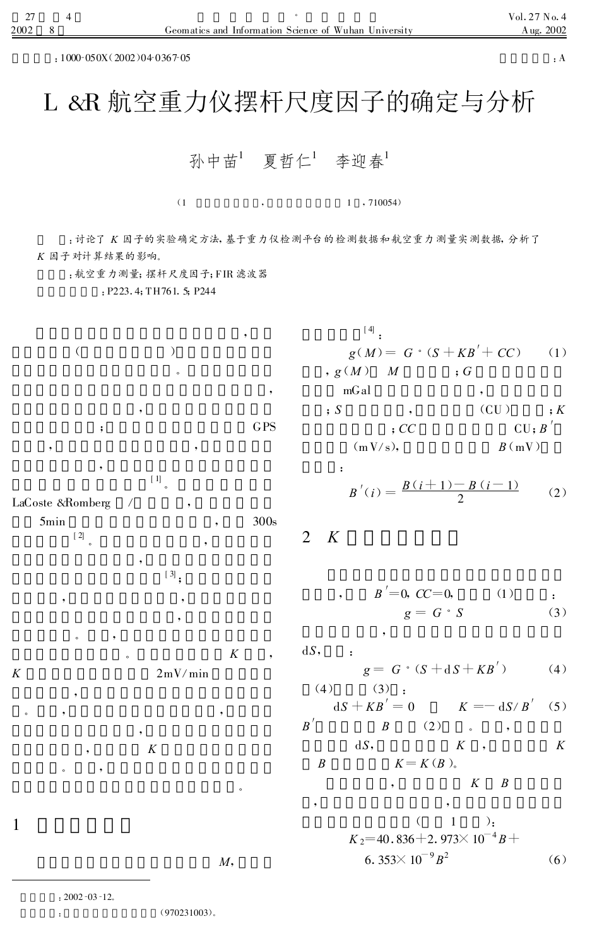:1000-050X(2002)04-0367-05 :A

## L &R 航空重力仪摆杆尺度因子的确定与分析

孙中苗<sup>1</sup> 夏哲仁<sup>1</sup> 李迎春<sup>1</sup>

 $(1, 710054)$ 

:讨论了 K 因子的实验确定方法, 基于重力仪检测平台的检测数据和航空重力测量实测数据, 分析了 K 因子对计算结果的影响。

:航空重力测量;摆杆尺度因子;FIR 滤波器

: P223, 4: TH761, 5: P244

 $($ 。 ; GPS , , [ 1] 。 LaCoste &Romberg 5min , 300s [ 2]  $\overline{\phantom{a}}$  $[3]$ ; , , 。 , , we have the contract of  $K$  ,  $\mathcal{K}$  $K = 2mV/min$ 。 , ,  $K$ 。 , 。 1  $M$ ,  $[4]$ .  $g(M) = G \cdot (S + KB' + CC)$  (1) ,  $g(M)$   $M$  ;  $G$ mGal ,  $\mathbf{s}$  ,  $\mathbf{s}$  ,  $\mathbf{s}$  ,  $\mathbf{s}$  ,  $\mathbf{s}$ ;CC CU ;B′  $(mV/s),$   $B(mV)$ :  $B'(i) = \frac{B(i+1)-B(i-1)}{2}$  (2) 2 K  $B' = 0, CC = 0,$  (1) :  $g = G \cdot S$  (3) ,  $dS$ ,  $g = G \cdot (S + dS + KB')$  (4)  $(4)$   $(3)$  :  $dS + KB' = 0$   $K = -dS/B'$  (5)  $B'$   $B$   $(2)$  , ,  $dS$ ,  $K$ ,  $K$  $B$   $K = K(B)$ . ,  $K$  B , ,  $( 1$ .  $K_{2}$ =40.836+2.973 $\times$  10<sup>-4</sup>B+ 6. 353 $\times$  10<sup>-9</sup> B  $(6)$  $: 2002 - 03 - 12.$ 

: (970231003)。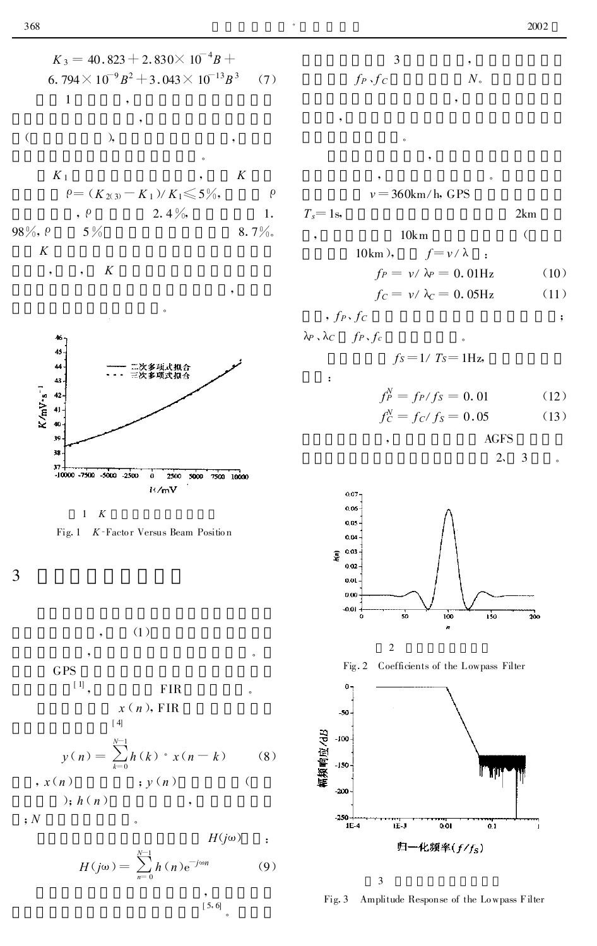$1 K$ 



 $\overline{3}$ 

 $(1)$ **GPS**  $[1]$ **FIR**  $x(n)$ , FIR  $[4]$  $y(n) = \sum_{k=0}^{N-1} h(k) \cdot x(n-k)$  $(8)$  $, x(n)$  $; y(n)$  $\overline{(\ }$  $\,$ ,  $h(n)$ 

 $\mathfrak{p}$ 

$$
H(j\omega) = \sum_{n=0}^{N-1} h(n) e^{-j\omega n}
$$
 (9)

 $-1$ 

 $, 5, 6$ 

 $2km$ 

 $\ddot{\cdot}$ 

$$
\begin{array}{ccc}\n & 3 & , \\
f_P \cdot f_C & & N \end{array}
$$

$$
v = 360 \text{km/h}, \text{ GPS}
$$

$$
T_s=1\mathrm{s},
$$

10km  
\n10km), 
$$
f=v/\lambda
$$
 :  
\n $f_P = v/\lambda_P = 0.01$ Hz (10)  
\n $f_C = v/\lambda_C = 0.05$ Hz (11)

$$
, f_P, f_C
$$

 $\ddot{\cdot}$ 

$$
\lambda_P \cdot \lambda_C \quad f_P \cdot f_C
$$
  

$$
f_S = 1 / T_S = 1 \text{Hz},
$$

$$
f_P^N = f_P/f_S = 0.01\tag{12}
$$

$$
f_C^N = f_C / f_S = 0.05 \tag{13}
$$

$$
AGFS
$$

$$
2, \quad 3 \qquad .
$$





 $\overline{\mathbf{3}}$ 

Fig. 3 Amplitude Response of the Lowpass Filter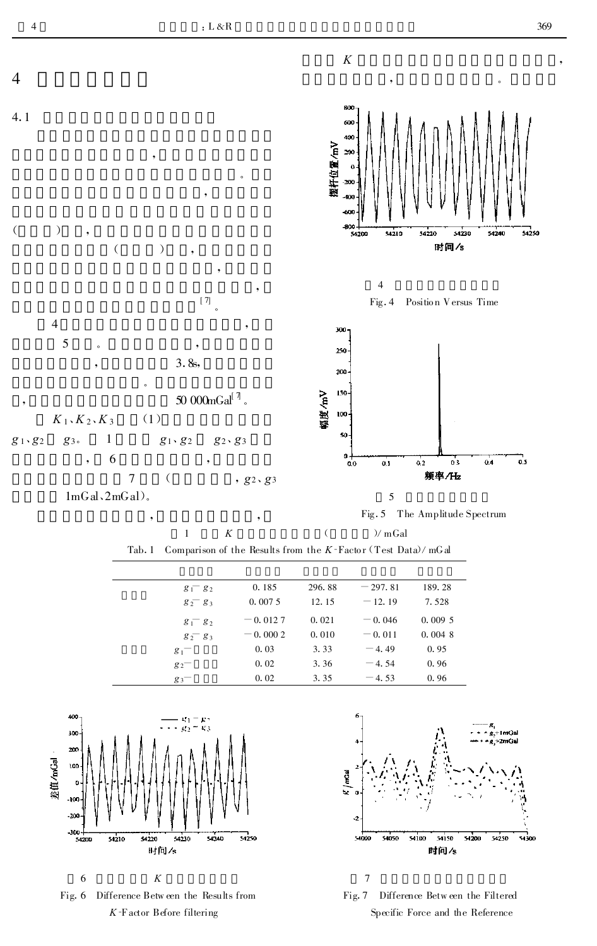



| 0.185<br>189.28<br>296.88<br>$-297.81$<br>$g_1$ $g_2$     |  |
|-----------------------------------------------------------|--|
| 0.0075<br>12.15<br>$-12.19$<br>7.528<br>$g_2 - g_3$       |  |
| $= 0.0127$<br>0.021<br>$= 0.046$<br>0.0095<br>$g_1 - g_2$ |  |
| 0.0048<br>$= 0.0002$<br>0.010<br>$= 0.011$<br>$g_2$ $g_3$ |  |
| 3.33<br>0.95<br>0.03<br>$-4.49$<br>$g_1$ <sup>-</sup>     |  |
| 3.36<br>0.96<br>0.02<br>$-4.54$<br>$g_2$                  |  |
| 0.96<br>0.02<br>3.35<br>$-4.53$<br>$g_3$                  |  |









Fig. 7 Difference Between the Filtered Specific Force and the Reference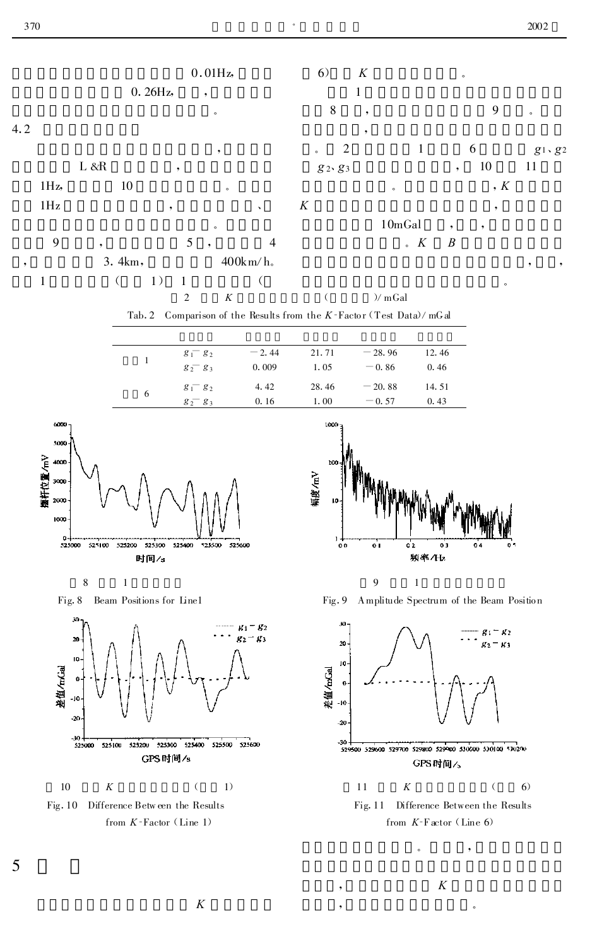

 $\cal K$ 

 $\overline{K}$